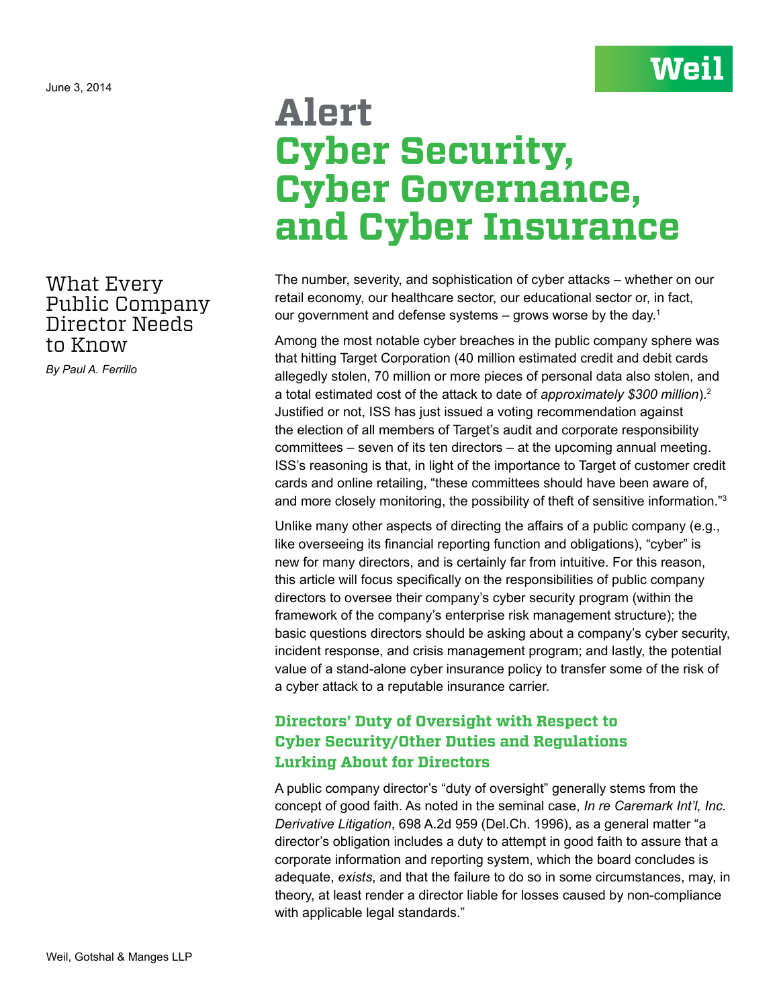## What Every Public Company Director Needs to Know

*By Paul A. Ferrillo*

# **Alert Cyber Security, Cyber Governance, and Cyber Insurance**

**Weil** 

The number, severity, and sophistication of cyber attacks – whether on our retail economy, our healthcare sector, our educational sector or, in fact, our government and defense systems  $-$  grows worse by the day.<sup>1</sup>

Among the most notable cyber breaches in the public company sphere was that hitting Target Corporation (40 million estimated credit and debit cards allegedly stolen, 70 million or more pieces of personal data also stolen, and a total estimated cost of the attack to date of *approximately \$300 million*).2 Justified or not, ISS has just issued a voting recommendation against the election of all members of Target's audit and corporate responsibility committees – seven of its ten directors – at the upcoming annual meeting. ISS's reasoning is that, in light of the importance to Target of customer credit cards and online retailing, "these committees should have been aware of, and more closely monitoring, the possibility of theft of sensitive information."3

Unlike many other aspects of directing the affairs of a public company (e.g., like overseeing its financial reporting function and obligations), "cyber" is new for many directors, and is certainly far from intuitive. For this reason, this article will focus specifically on the responsibilities of public company directors to oversee their company's cyber security program (within the framework of the company's enterprise risk management structure); the basic questions directors should be asking about a company's cyber security, incident response, and crisis management program; and lastly, the potential value of a stand-alone cyber insurance policy to transfer some of the risk of a cyber attack to a reputable insurance carrier.

### **Directors' Duty of Oversight with Respect to Cyber Security/Other Duties and Regulations Lurking About for Directors**

A public company director's "duty of oversight" generally stems from the concept of good faith. As noted in the seminal case, *In re Caremark Int'l, Inc. Derivative Litigation*, 698 A.2d 959 (Del.Ch. 1996), as a general matter "a director's obligation includes a duty to attempt in good faith to assure that a corporate information and reporting system, which the board concludes is adequate, *exists*, and that the failure to do so in some circumstances, may, in theory, at least render a director liable for losses caused by non-compliance with applicable legal standards."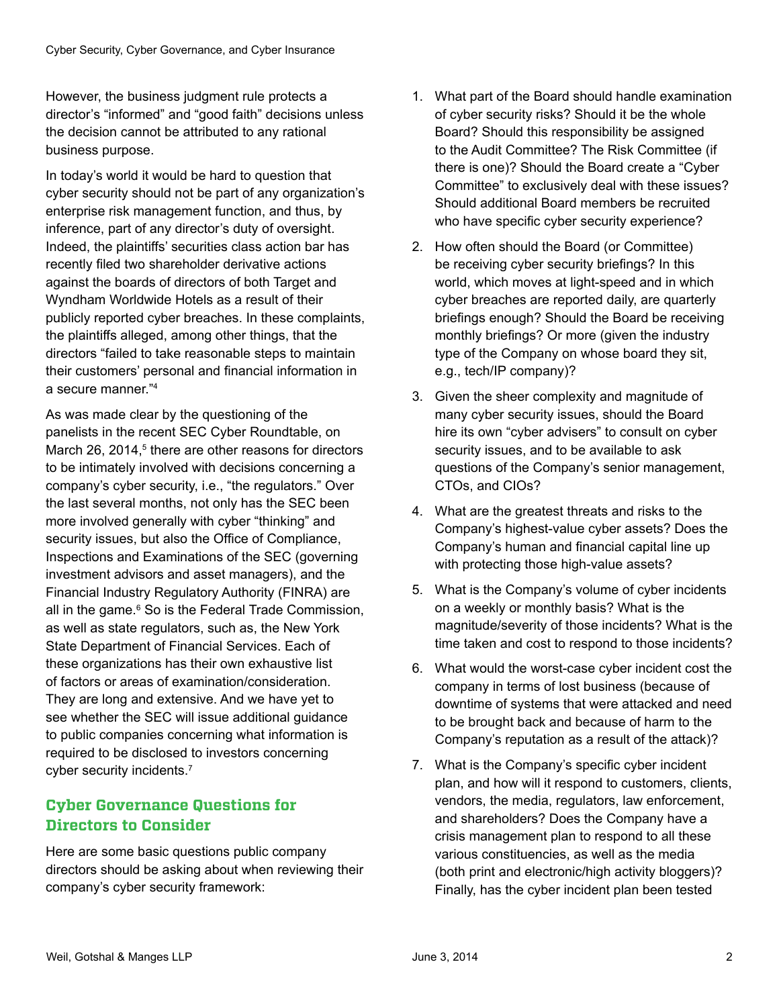However, the business judgment rule protects a director's "informed" and "good faith" decisions unless the decision cannot be attributed to any rational business purpose.

In today's world it would be hard to question that cyber security should not be part of any organization's enterprise risk management function, and thus, by inference, part of any director's duty of oversight. Indeed, the plaintiffs' securities class action bar has recently filed two shareholder derivative actions against the boards of directors of both Target and Wyndham Worldwide Hotels as a result of their publicly reported cyber breaches. In these complaints, the plaintiffs alleged, among other things, that the directors "failed to take reasonable steps to maintain their customers' personal and financial information in a secure manner."4

As was made clear by the questioning of the panelists in the recent SEC Cyber Roundtable, on March 26, 2014,<sup>5</sup> there are other reasons for directors to be intimately involved with decisions concerning a company's cyber security, i.e., "the regulators." Over the last several months, not only has the SEC been more involved generally with cyber "thinking" and security issues, but also the Office of Compliance, Inspections and Examinations of the SEC (governing investment advisors and asset managers), and the Financial Industry Regulatory Authority (FINRA) are all in the game.<sup>6</sup> So is the Federal Trade Commission, as well as state regulators, such as, the New York State Department of Financial Services. Each of these organizations has their own exhaustive list of factors or areas of examination/consideration. They are long and extensive. And we have yet to see whether the SEC will issue additional guidance to public companies concerning what information is required to be disclosed to investors concerning cyber security incidents.7

## **Cyber Governance Questions for Directors to Consider**

Here are some basic questions public company directors should be asking about when reviewing their company's cyber security framework:

- 1. What part of the Board should handle examination of cyber security risks? Should it be the whole Board? Should this responsibility be assigned to the Audit Committee? The Risk Committee (if there is one)? Should the Board create a "Cyber Committee" to exclusively deal with these issues? Should additional Board members be recruited who have specific cyber security experience?
- 2. How often should the Board (or Committee) be receiving cyber security briefings? In this world, which moves at light-speed and in which cyber breaches are reported daily, are quarterly briefings enough? Should the Board be receiving monthly briefings? Or more (given the industry type of the Company on whose board they sit, e.g., tech/IP company)?
- 3. Given the sheer complexity and magnitude of many cyber security issues, should the Board hire its own "cyber advisers" to consult on cyber security issues, and to be available to ask questions of the Company's senior management, CTOs, and CIOs?
- 4. What are the greatest threats and risks to the Company's highest-value cyber assets? Does the Company's human and financial capital line up with protecting those high-value assets?
- 5. What is the Company's volume of cyber incidents on a weekly or monthly basis? What is the magnitude/severity of those incidents? What is the time taken and cost to respond to those incidents?
- 6. What would the worst-case cyber incident cost the company in terms of lost business (because of downtime of systems that were attacked and need to be brought back and because of harm to the Company's reputation as a result of the attack)?
- 7. What is the Company's specific cyber incident plan, and how will it respond to customers, clients, vendors, the media, regulators, law enforcement, and shareholders? Does the Company have a crisis management plan to respond to all these various constituencies, as well as the media (both print and electronic/high activity bloggers)? Finally, has the cyber incident plan been tested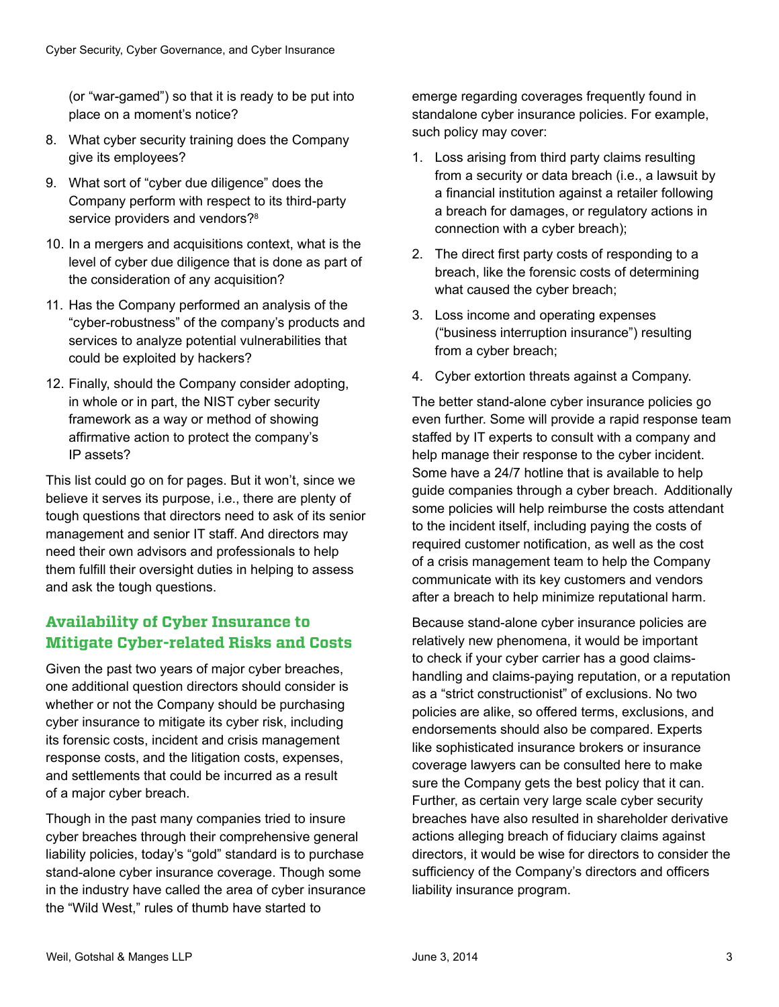(or "war-gamed") so that it is ready to be put into place on a moment's notice?

- 8. What cyber security training does the Company give its employees?
- 9. What sort of "cyber due diligence" does the Company perform with respect to its third-party service providers and vendors?<sup>8</sup>
- 10. In a mergers and acquisitions context, what is the level of cyber due diligence that is done as part of the consideration of any acquisition?
- 11. Has the Company performed an analysis of the "cyber-robustness" of the company's products and services to analyze potential vulnerabilities that could be exploited by hackers?
- 12. Finally, should the Company consider adopting, in whole or in part, the NIST cyber security framework as a way or method of showing affirmative action to protect the company's IP assets?

This list could go on for pages. But it won't, since we believe it serves its purpose, i.e., there are plenty of tough questions that directors need to ask of its senior management and senior IT staff. And directors may need their own advisors and professionals to help them fulfill their oversight duties in helping to assess and ask the tough questions.

### **Availability of Cyber Insurance to Mitigate Cyber-related Risks and Costs**

Given the past two years of major cyber breaches, one additional question directors should consider is whether or not the Company should be purchasing cyber insurance to mitigate its cyber risk, including its forensic costs, incident and crisis management response costs, and the litigation costs, expenses, and settlements that could be incurred as a result of a major cyber breach.

Though in the past many companies tried to insure cyber breaches through their comprehensive general liability policies, today's "gold" standard is to purchase stand-alone cyber insurance coverage. Though some in the industry have called the area of cyber insurance the "Wild West," rules of thumb have started to

emerge regarding coverages frequently found in standalone cyber insurance policies. For example, such policy may cover:

- 1. Loss arising from third party claims resulting from a security or data breach (i.e., a lawsuit by a financial institution against a retailer following a breach for damages, or regulatory actions in connection with a cyber breach);
- 2. The direct first party costs of responding to a breach, like the forensic costs of determining what caused the cyber breach;
- 3. Loss income and operating expenses ("business interruption insurance") resulting from a cyber breach;
- 4. Cyber extortion threats against a Company.

The better stand-alone cyber insurance policies go even further. Some will provide a rapid response team staffed by IT experts to consult with a company and help manage their response to the cyber incident. Some have a 24/7 hotline that is available to help guide companies through a cyber breach. Additionally some policies will help reimburse the costs attendant to the incident itself, including paying the costs of required customer notification, as well as the cost of a crisis management team to help the Company communicate with its key customers and vendors after a breach to help minimize reputational harm.

Because stand-alone cyber insurance policies are relatively new phenomena, it would be important to check if your cyber carrier has a good claimshandling and claims-paying reputation, or a reputation as a "strict constructionist" of exclusions. No two policies are alike, so offered terms, exclusions, and endorsements should also be compared. Experts like sophisticated insurance brokers or insurance coverage lawyers can be consulted here to make sure the Company gets the best policy that it can. Further, as certain very large scale cyber security breaches have also resulted in shareholder derivative actions alleging breach of fiduciary claims against directors, it would be wise for directors to consider the sufficiency of the Company's directors and officers liability insurance program.